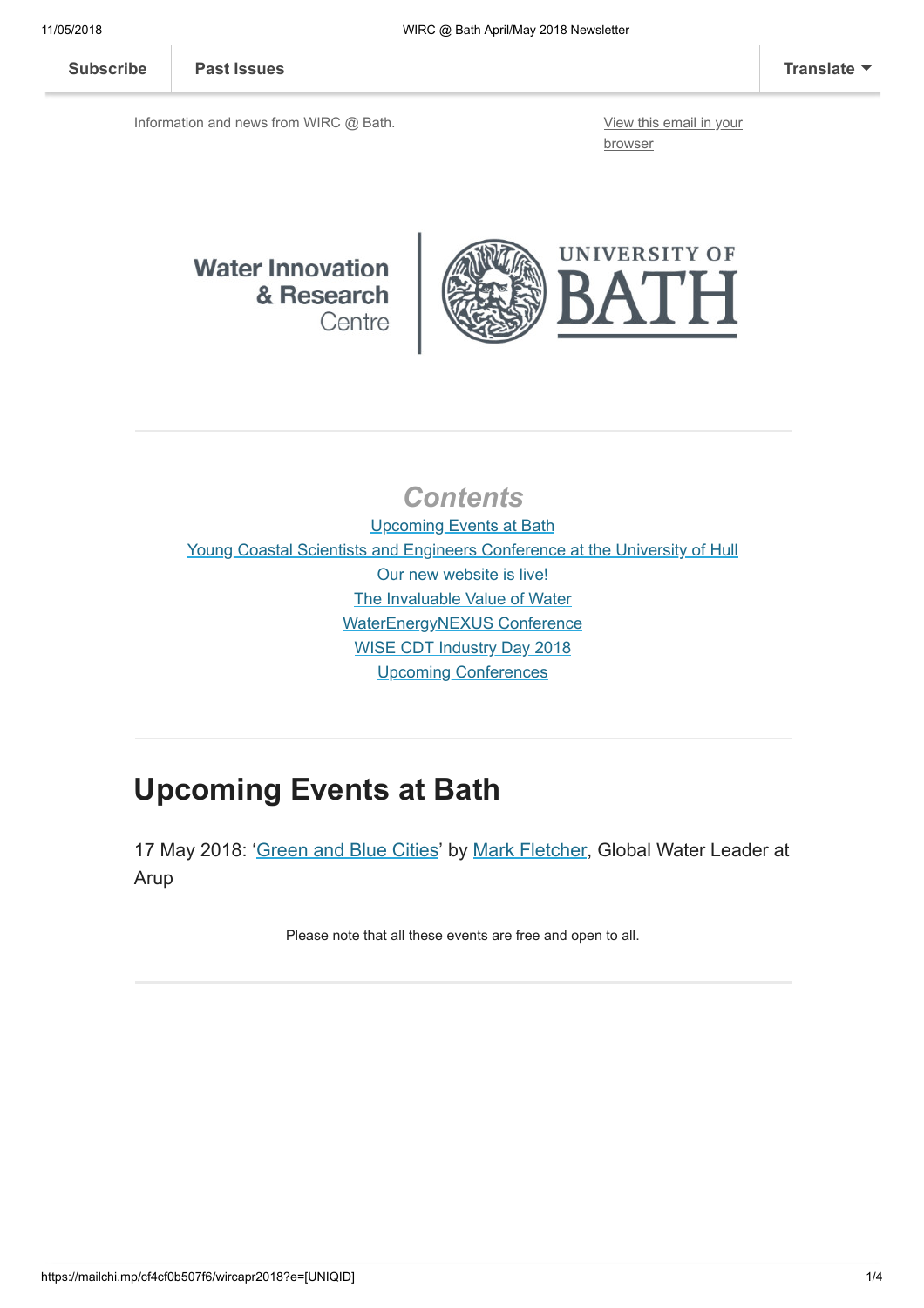[Subscribe](http://eepurl.com/bKjQGL) [Past Issues](https://us12.campaign-archive.com/home/?u=d7614ea34eb388bb6f0caa07a&id=d688d5b543) [Translate](javascript:;)

Information and news from WIRC @ Bath. [View this email in your](https://mailchi.mp/cf4cf0b507f6/wircapr2018?e=[UNIQID])

browser

#### **Water Innovation** & Research Centre



#### **Contents**

Upcoming Events at Bath [Young Coastal Scientists and Engineers Conference at the University of Hull](#page-1-0) [Our new website is live!](#page-1-1) [The Invaluable Value of Water](#page-1-2) [WaterEnergyNEXUS Conference](#page-2-0) [WISE CDT Industry Day 2018](#page-2-1) [Upcoming Conferences](#page-2-2)

# Upcoming Events at Bath

17 May 2018: ['Green and Blue Cities'](http://www.bath.ac.uk/events/green-and-blue-cities/) by [Mark Fletcher](https://www.arup.com/our-firm/mark-fletcher), Global Water Leader at Arup

Please note that all these events are free and open to all.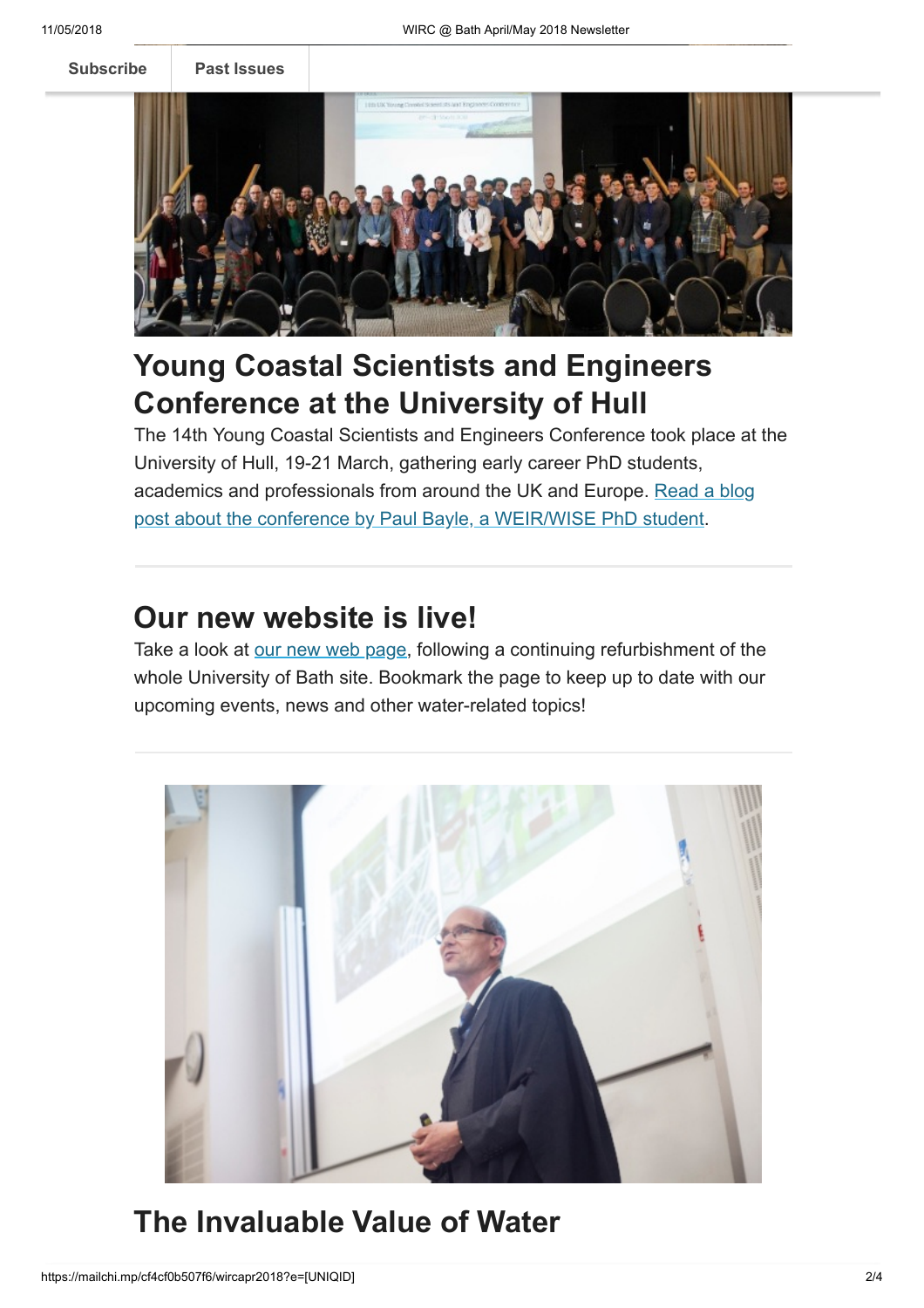[Subscribe](http://eepurl.com/bKjQGL) [Past Issues](https://us12.campaign-archive.com/home/?u=d7614ea34eb388bb6f0caa07a&id=d688d5b543)



# <span id="page-1-0"></span>Young Coastal Scientists and Engineers Conference at the University of Hull

The 14th Young Coastal Scientists and Engineers Conference took place at the University of Hull, 19-21 March, gathering early career PhD students, [academics and professionals from around the UK and Europe. Read a blog](http://blogs.bath.ac.uk/water/2018/04/04/young-coastal-scientists-and-engineers-conference-at-the-university-of-hull/) post about the conference by Paul Bayle, a WEIR/WISE PhD student.

### <span id="page-1-1"></span>Our new website is live!

Take a look at [our new web page,](http://www.bath.ac.uk/research-centres/water-innovation-and-research-centre-wirc-bath/) following a continuing refurbishment of the whole University of Bath site. Bookmark the page to keep up to date with our upcoming events, news and other water-related topics!



# <span id="page-1-2"></span>The Invaluable Value of Water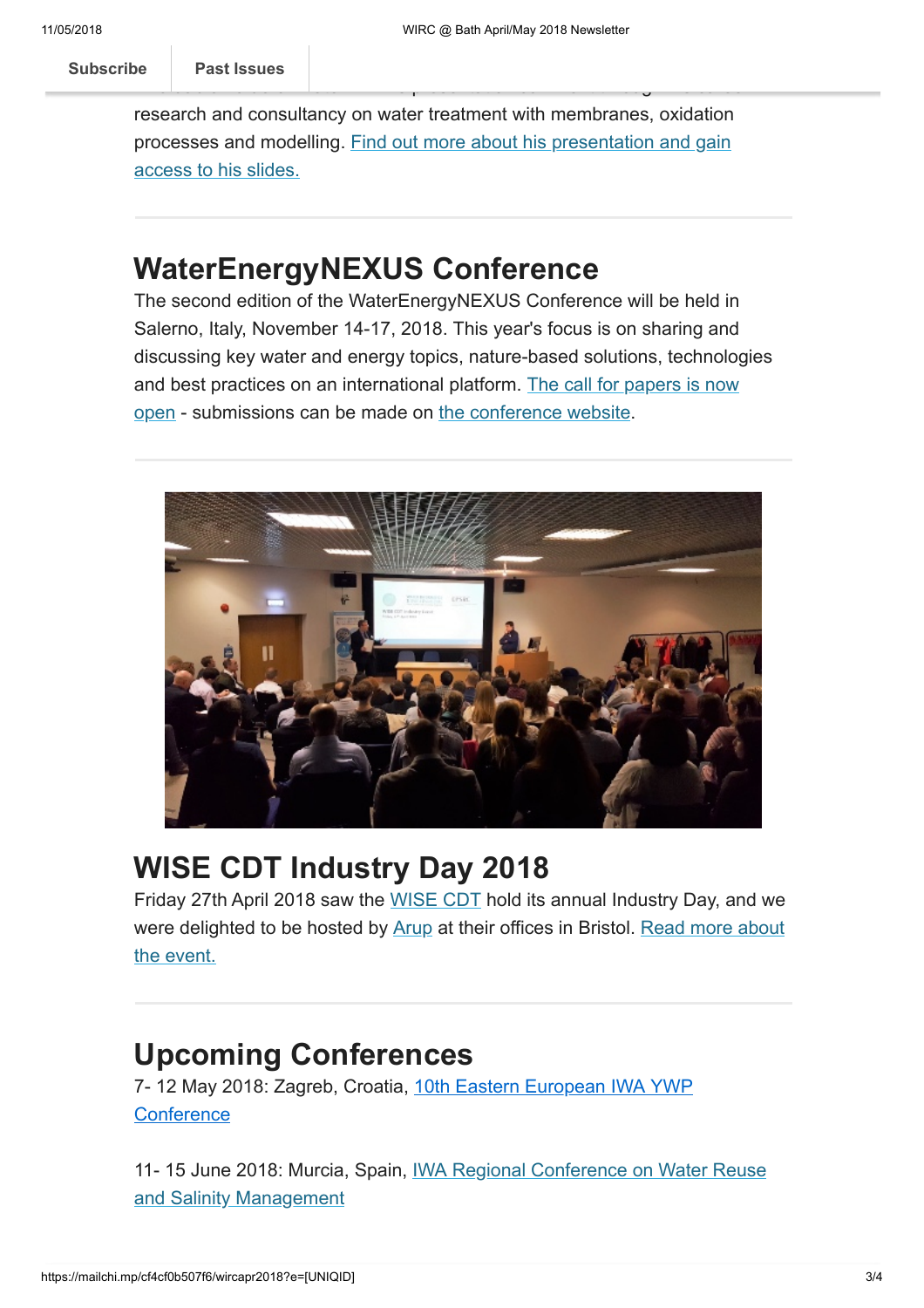research and consultancy on water treatment with membranes, oxidation [processes and modelling. Find out more about his presentation and gain](http://blogs.bath.ac.uk/water/2018/05/02/the-invaluable-value-of-water/) access to his slides.

Invaluable Value of Water". In his presentation Jan went through his career in

### <span id="page-2-0"></span>WaterEnergyNEXUS Conference

The second edition of the WaterEnergyNEXUS Conference will be held in Salerno, Italy, November 14-17, 2018. This year's focus is on sharing and discussing key water and energy topics, nature-based solutions, technologies [and best practices on an international platform. The call for papers is now](http://waterenergynexus.org/wp-content/uploads/2018/04/2018_WaterEnergyNEXUS_November_Salerno-Italy_CFP.pdf) open - submissions can be made on [the conference website](http://waterenergynexus.org/).



## <span id="page-2-1"></span>WISE CDT Industry Day 2018

Friday 27th April 2018 saw the [WISE CDT](http://www.wisecdt.org/) hold its annual Industry Day, and we [were delighted to be hosted by](http://blogs.bath.ac.uk/water/2018/05/03/wise-cdt-industry-day-2018/) [Arup](https://www.arup.com/) [at their offices in Bristol. Read more about](http://blogs.bath.ac.uk/water/2018/05/03/wise-cdt-industry-day-2018/) the event.

## <span id="page-2-2"></span>Upcoming Conferences

[7- 12 May 2018: Zagreb, Croatia, 1](http://www.iwa-network.org/events/10th-eastern-european-iwa-ywp-conference/)[0th](http://www.iwa-network.org/events/19th-uk-iwa-young-water-professionals-conference-towards-a-resilient-water-future/) [Eastern European IWA YWP](http://www.iwa-network.org/events/10th-eastern-european-iwa-ywp-conference/) **Conference** 

[11- 15 June 2018: Murcia, Spain, IWA Regional Conference on Water Reuse](http://www.iwa-network.org/events/iwa-regional-conference-on-water-reuse-and-salinity-management/) and Salinity Management